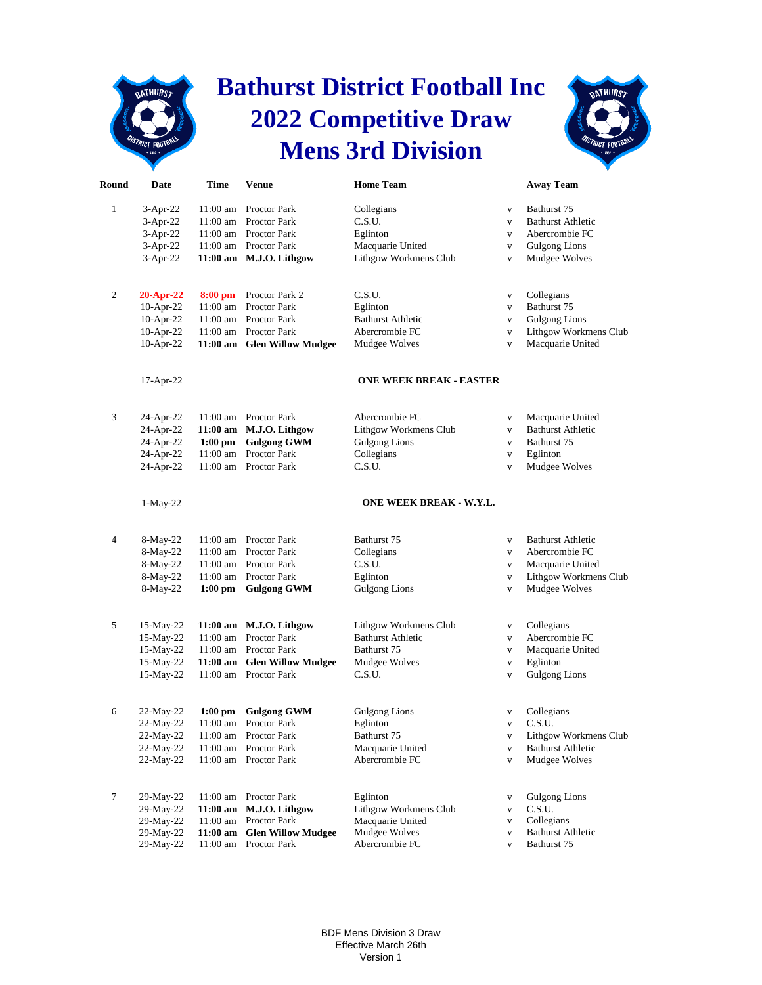## **Bathurst District Football Inc 2022 Competitive Draw Mens 3rd Division**

**BATHURSZ** 



| Round          | Date                   | Time       | <b>Venue</b>                                         | <b>Home Team</b>                           |                              | <b>Away Team</b>                          |
|----------------|------------------------|------------|------------------------------------------------------|--------------------------------------------|------------------------------|-------------------------------------------|
| 1              | $3-Apr-22$             |            | 11:00 am Proctor Park                                | Collegians                                 | V                            | Bathurst 75                               |
|                | $3-Apr-22$             | $11:00$ am | <b>Proctor Park</b>                                  | C.S.U.                                     | $\mathbf V$                  | <b>Bathurst Athletic</b>                  |
|                | $3-Apr-22$             | 11:00 am   | <b>Proctor Park</b>                                  | Eglinton                                   | $\mathbf{V}$                 | Abercrombie FC                            |
|                | $3-Apr-22$             |            | 11:00 am Proctor Park                                | Macquarie United                           | $\mathbf{V}$                 | <b>Gulgong Lions</b>                      |
|                | $3-Apr-22$             |            | 11:00 am M.J.O. Lithgow                              | Lithgow Workmens Club                      | $\mathbf V$                  | Mudgee Wolves                             |
|                |                        |            |                                                      |                                            |                              |                                           |
| 2              | 20-Apr-22              | $8:00$ pm  | Proctor Park 2                                       | C.S.U.                                     | V                            | Collegians                                |
|                | 10-Apr-22              | 11:00 am   | <b>Proctor Park</b>                                  | Eglinton                                   | $\mathbf{V}$                 | Bathurst 75                               |
|                | 10-Apr-22              |            | 11:00 am Proctor Park                                | <b>Bathurst Athletic</b><br>Abercrombie FC | $\mathbf{V}$                 | <b>Gulgong Lions</b>                      |
|                | 10-Apr-22<br>10-Apr-22 |            | 11:00 am Proctor Park<br>11:00 am Glen Willow Mudgee | Mudgee Wolves                              | $\mathbf{V}$<br>$\mathbf{V}$ | Lithgow Workmens Club<br>Macquarie United |
|                |                        |            |                                                      |                                            |                              |                                           |
|                | 17-Apr-22              |            |                                                      | <b>ONE WEEK BREAK - EASTER</b>             |                              |                                           |
| 3              | 24-Apr-22              |            | 11:00 am Proctor Park                                | Abercrombie FC                             | V                            | Macquarie United                          |
|                | 24-Apr-22              |            | 11:00 am M.J.O. Lithgow                              | Lithgow Workmens Club                      | $\mathbf{V}$                 | <b>Bathurst Athletic</b>                  |
|                | 24-Apr-22              | $1:00$ pm  | <b>Gulgong GWM</b>                                   | <b>Gulgong Lions</b>                       | V                            | Bathurst 75                               |
|                | 24-Apr-22              |            | 11:00 am Proctor Park                                | Collegians                                 | $\mathbf{V}$                 | Eglinton                                  |
|                | 24-Apr-22              |            | 11:00 am Proctor Park                                | C.S.U.                                     | $\mathbf{V}$                 | Mudgee Wolves                             |
|                | $1-May-22$             |            |                                                      | ONE WEEK BREAK - W.Y.L.                    |                              |                                           |
| $\overline{4}$ | 8-May-22               |            | 11:00 am Proctor Park                                | Bathurst 75                                | $\mathbf{V}$                 | <b>Bathurst Athletic</b>                  |
|                | 8-May-22               |            | 11:00 am Proctor Park                                | Collegians                                 | $\mathbf{V}$                 | Abercrombie FC                            |
|                | 8-May-22               |            | 11:00 am Proctor Park                                | C.S.U.                                     | $\mathbf{V}$                 | Macquarie United                          |
|                | 8-May-22               | 11:00 am   | <b>Proctor Park</b>                                  | Eglinton                                   | $\mathbf{V}$                 | Lithgow Workmens Club                     |
|                | $8-May-22$             |            | 1:00 pm Gulgong GWM                                  | <b>Gulgong Lions</b>                       | $\mathbf V$                  | Mudgee Wolves                             |
| 5              | 15-May-22              |            | 11:00 am M.J.O. Lithgow                              | Lithgow Workmens Club                      | V                            | Collegians                                |
|                | 15-May-22              | $11:00$ am | <b>Proctor Park</b>                                  | <b>Bathurst Athletic</b>                   | $\mathbf{V}$                 | Abercrombie FC                            |
|                | 15-May-22              |            | 11:00 am Proctor Park                                | Bathurst 75                                | $\mathbf{V}$                 | Macquarie United                          |
|                | 15-May-22              |            | 11:00 am Glen Willow Mudgee                          | Mudgee Wolves                              | $\mathbf{V}$                 | Eglinton                                  |
|                | 15-May-22              |            | 11:00 am Proctor Park                                | C.S.U.                                     | $\mathbf V$                  | <b>Gulgong Lions</b>                      |
|                |                        |            |                                                      |                                            |                              |                                           |
| 6              | 22-May-22              |            | 1:00 pm Gulgong GWM                                  | <b>Gulgong Lions</b>                       | V                            | Collegians                                |
|                | 22-May-22              |            | 11:00 am Proctor Park                                | Eglinton                                   | V                            | C.S.U.                                    |
|                | 22-May-22              |            | 11:00 am Proctor Park                                | Bathurst 75                                | v                            | Lithgow Workmens Club                     |
|                | 22-May-22              |            | 11:00 am Proctor Park                                | Macquarie United                           | $\mathbf V$                  | <b>Bathurst Athletic</b>                  |
|                | 22-May-22              |            | 11:00 am Proctor Park                                | Abercrombie FC                             | V                            | Mudgee Wolves                             |
| 7              | 29-May-22              |            | 11:00 am Proctor Park                                | Eglinton                                   | V                            | <b>Gulgong Lions</b>                      |
|                | 29-May-22              | $11:00$ am | M.J.O. Lithgow                                       | Lithgow Workmens Club                      | V                            | C.S.U.                                    |
|                | 29-May-22              |            | 11:00 am Proctor Park                                | Macquarie United                           | v                            | Collegians                                |
|                | 29-May-22              |            | 11:00 am Glen Willow Mudgee                          | Mudgee Wolves                              | V                            | <b>Bathurst Athletic</b>                  |
|                | 29-May-22              |            | 11:00 am Proctor Park                                | Abercrombie FC                             | $\mathbf{V}$                 | Bathurst 75                               |

BDF Mens Division 3 Draw Effective March 26th Version 1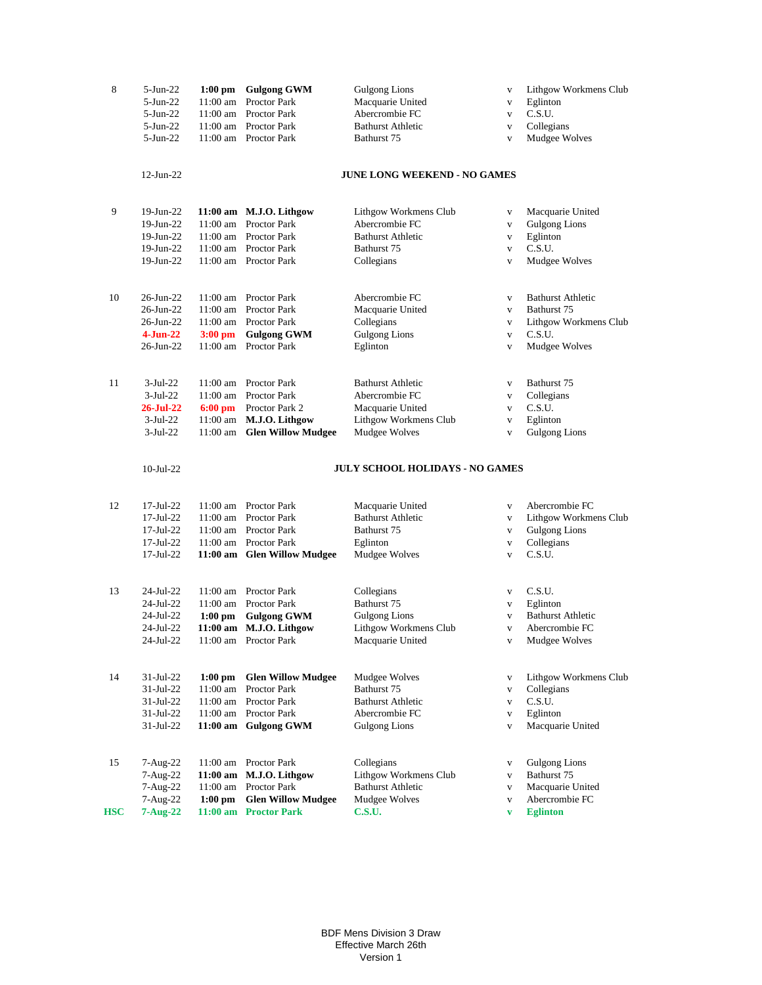| 8          | $5-Jun-22$<br>$5-Jun-22$<br>$5-Jun-22$<br>$5-Jun-22$<br>$5-Jun-22$ | $11:00$ am        | 1:00 pm Gulgong GWM<br>Proctor Park<br>11:00 am Proctor Park<br>11:00 am Proctor Park<br>11:00 am Proctor Park | <b>Gulgong Lions</b><br>Macquarie United<br>Abercrombie FC<br><b>Bathurst Athletic</b><br>Bathurst 75 | $\mathbf V$<br>$\mathbf{V}$<br>$\mathbf V$<br>$\mathbf V$<br>$\mathbf V$ | Lithgow Workmens Club<br>Eglinton<br>C.S.U.<br>Collegians<br>Mudgee Wolves |
|------------|--------------------------------------------------------------------|-------------------|----------------------------------------------------------------------------------------------------------------|-------------------------------------------------------------------------------------------------------|--------------------------------------------------------------------------|----------------------------------------------------------------------------|
|            | $12$ -Jun-22                                                       |                   |                                                                                                                | <b>JUNE LONG WEEKEND - NO GAMES</b>                                                                   |                                                                          |                                                                            |
| 9          | 19-Jun-22                                                          |                   | 11:00 am M.J.O. Lithgow                                                                                        | Lithgow Workmens Club                                                                                 | $\mathbf{V}$                                                             | Macquarie United                                                           |
|            | 19-Jun-22                                                          |                   | 11:00 am Proctor Park                                                                                          | Abercrombie FC                                                                                        | $\mathbf V$                                                              | <b>Gulgong Lions</b>                                                       |
|            | 19-Jun-22                                                          |                   | 11:00 am Proctor Park                                                                                          | <b>Bathurst Athletic</b>                                                                              | V                                                                        | Eglinton                                                                   |
|            | 19-Jun-22                                                          |                   | 11:00 am Proctor Park                                                                                          | Bathurst 75                                                                                           | $\mathbf{V}$                                                             | C.S.U.                                                                     |
|            | 19-Jun-22                                                          |                   | 11:00 am Proctor Park                                                                                          | Collegians                                                                                            | $\mathbf V$                                                              | Mudgee Wolves                                                              |
| 10         | 26-Jun-22                                                          |                   | 11:00 am Proctor Park                                                                                          | Abercrombie FC                                                                                        | $\mathbf{V}$                                                             | <b>Bathurst Athletic</b>                                                   |
|            | 26-Jun-22                                                          |                   | 11:00 am Proctor Park                                                                                          | Macquarie United                                                                                      | $\mathbf{V}$                                                             | Bathurst 75                                                                |
|            | 26-Jun-22                                                          |                   | 11:00 am Proctor Park                                                                                          | Collegians                                                                                            | $\mathbf{V}$                                                             | Lithgow Workmens Club                                                      |
|            | $4-Jun-22$                                                         | $3:00 \text{ pm}$ | <b>Gulgong GWM</b>                                                                                             | <b>Gulgong Lions</b>                                                                                  | $\mathbf{V}$                                                             | C.S.U.                                                                     |
|            | 26-Jun-22                                                          |                   | 11:00 am Proctor Park                                                                                          | Eglinton                                                                                              | $\mathbf{V}$                                                             | Mudgee Wolves                                                              |
| 11         | $3-Jul-22$                                                         | 11:00 am          | Proctor Park                                                                                                   | <b>Bathurst Athletic</b>                                                                              | $\mathbf{V}$                                                             | Bathurst 75                                                                |
|            | $3-Jul-22$                                                         |                   | 11:00 am Proctor Park                                                                                          | Abercrombie FC                                                                                        | $\mathbf V$                                                              | Collegians                                                                 |
|            | <b>26-Jul-22</b>                                                   |                   | 6:00 pm Proctor Park 2                                                                                         | Macquarie United                                                                                      | $\mathbf{V}$                                                             | C.S.U.                                                                     |
|            | $3-Jul-22$                                                         |                   | 11:00 am M.J.O. Lithgow                                                                                        | Lithgow Workmens Club                                                                                 | $\mathbf V$                                                              | Eglinton                                                                   |
|            | $3-Jul-22$                                                         |                   | 11:00 am Glen Willow Mudgee                                                                                    | Mudgee Wolves                                                                                         | $\mathbf{V}$                                                             | <b>Gulgong Lions</b>                                                       |
|            | $10$ -Jul-22                                                       |                   |                                                                                                                | JULY SCHOOL HOLIDAYS - NO GAMES                                                                       |                                                                          |                                                                            |
| 12         | 17-Jul-22                                                          |                   | 11:00 am Proctor Park                                                                                          | Macquarie United                                                                                      | $\mathbf{V}$                                                             | Abercrombie FC                                                             |
|            | $17 - \text{Jul} - 22$                                             |                   | 11:00 am Proctor Park                                                                                          | <b>Bathurst Athletic</b>                                                                              | $\mathbf{V}$                                                             | Lithgow Workmens Club                                                      |
|            | $17 - \text{Jul} - 22$                                             |                   | 11:00 am Proctor Park                                                                                          | Bathurst 75                                                                                           | $\mathbf{V}$                                                             | <b>Gulgong Lions</b>                                                       |
|            | $17 - \text{Jul} - 22$                                             |                   | 11:00 am Proctor Park                                                                                          | Eglinton                                                                                              | $\mathbf{V}$                                                             | Collegians                                                                 |
|            | 17-Jul-22                                                          |                   | 11:00 am Glen Willow Mudgee                                                                                    | Mudgee Wolves                                                                                         | $\mathbf V$                                                              | C.S.U.                                                                     |
| 13         | 24-Jul-22                                                          |                   | 11:00 am Proctor Park                                                                                          | Collegians                                                                                            | $\mathbf{V}$                                                             | C.S.U.                                                                     |
|            | 24-Jul-22                                                          | 11:00 am          | Proctor Park                                                                                                   | Bathurst 75                                                                                           | $\mathbf{V}$                                                             | Eglinton                                                                   |
|            | 24-Jul-22                                                          | $1:00$ pm         | <b>Gulgong GWM</b>                                                                                             | <b>Gulgong Lions</b>                                                                                  | $\mathbf{V}$                                                             | <b>Bathurst Athletic</b>                                                   |
|            | 24-Jul-22                                                          |                   | 11:00 am M.J.O. Lithgow                                                                                        | Lithgow Workmens Club                                                                                 | $\mathbf{V}$                                                             | Abercrombie FC                                                             |
|            | 24-Jul-22                                                          |                   | 11:00 am Proctor Park                                                                                          | Macquarie United                                                                                      | $\mathbf V$                                                              | Mudgee Wolves                                                              |
| 14         | 31-Jul-22                                                          | $1:00$ pm         | <b>Glen Willow Mudgee</b>                                                                                      | Mudgee Wolves                                                                                         | $\mathbf{V}$                                                             | Lithgow Workmens Club                                                      |
|            | 31-Jul-22                                                          |                   | 11:00 am Proctor Park                                                                                          | Bathurst 75                                                                                           | $\mathbf{V}$                                                             | Collegians                                                                 |
|            | 31-Jul-22                                                          |                   | 11:00 am Proctor Park                                                                                          | <b>Bathurst Athletic</b>                                                                              | $\mathbf V$                                                              | C.S.U.                                                                     |
|            | $31 - Jul - 22$                                                    |                   | 11:00 am Proctor Park                                                                                          | Abercrombie FC                                                                                        | $\mathbf{V}$                                                             | Eglinton                                                                   |
|            | 31-Jul-22                                                          |                   | 11:00 am Gulgong GWM                                                                                           | <b>Gulgong Lions</b>                                                                                  | $\mathbf{V}$                                                             | Macquarie United                                                           |
| 15         | 7-Aug-22                                                           |                   | 11:00 am Proctor Park                                                                                          | Collegians                                                                                            | $\mathbf V$                                                              | Gulgong Lions                                                              |
|            | 7-Aug-22                                                           |                   | $11:00$ am M.J.O. Lithgow                                                                                      | Lithgow Workmens Club                                                                                 | $\mathbf{V}$                                                             | Bathurst 75                                                                |
|            | 7-Aug-22                                                           |                   | 11:00 am Proctor Park                                                                                          | <b>Bathurst Athletic</b>                                                                              | $\mathbf{V}$                                                             | Macquarie United                                                           |
|            | $7 - Aug-22$                                                       | $1:00 \text{ pm}$ | <b>Glen Willow Mudgee</b>                                                                                      | Mudgee Wolves                                                                                         | $\mathbf{V}$                                                             | Abercrombie FC                                                             |
| <b>HSC</b> | $7 - Aug-22$                                                       |                   | 11:00 am Proctor Park                                                                                          | <b>C.S.U.</b>                                                                                         | $\mathbf{v}$                                                             | <b>Eglinton</b>                                                            |